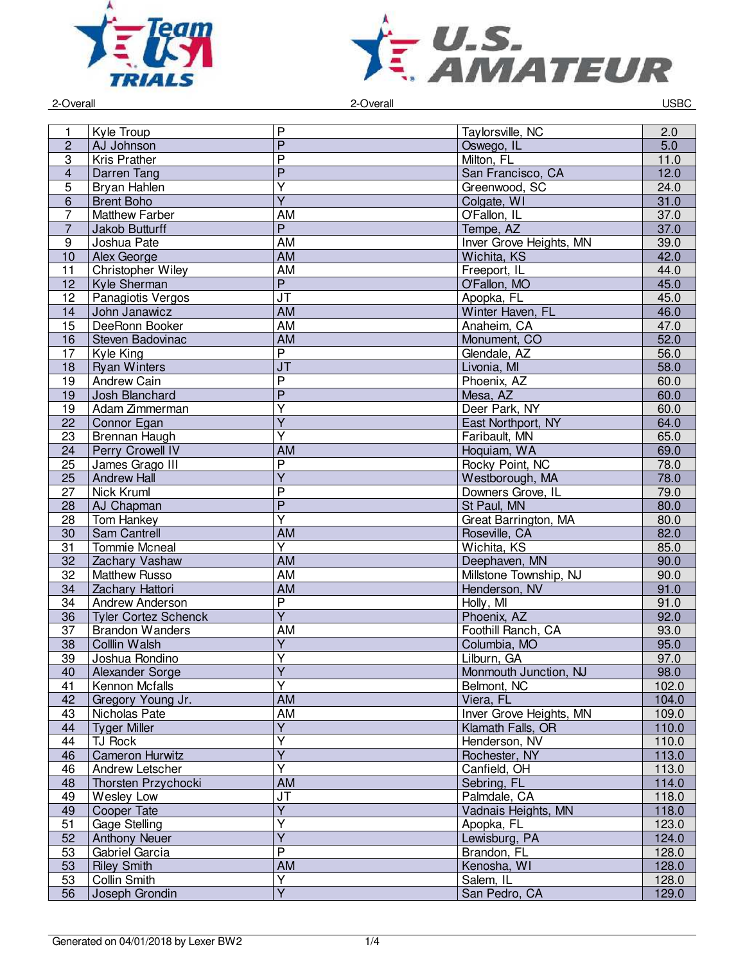



2-Overall 2-Overall USBC

|                |                             | P                                 |                         |       |
|----------------|-----------------------------|-----------------------------------|-------------------------|-------|
| 1              | Kyle Troup                  | $\overline{P}$                    | Taylorsville, NC        | 2.0   |
| $\overline{c}$ | AJ Johnson                  |                                   | Oswego, IL              | 5.0   |
| 3              | <b>Kris Prather</b>         | $\overline{\mathsf{P}}$           | Milton, FL              | 11.0  |
| $\overline{4}$ | Darren Tang                 | $\overline{P}$                    | San Francisco, CA       | 12.0  |
| $\overline{5}$ | Bryan Hahlen                | $\overline{\mathsf{Y}}$           | Greenwood, SC           | 24.0  |
| $\overline{6}$ | <b>Brent Boho</b>           | $\overline{\mathsf{Y}}$           | Colgate, WI             | 31.0  |
| $\overline{7}$ | <b>Matthew Farber</b>       | AM                                | O'Fallon, IL            | 37.0  |
| $\overline{7}$ | Jakob Butturff              | $\overline{P}$                    | Tempe, AZ               | 37.0  |
| 9              | Joshua Pate                 | <b>AM</b>                         | Inver Grove Heights, MN | 39.0  |
| 10             | Alex George                 | <b>AM</b>                         | Wichita, KS             | 42.0  |
| 11             | Christopher Wiley           | <b>AM</b>                         | Freeport, IL            | 44.0  |
| 12             | Kyle Sherman                | $\overline{P}$                    | O'Fallon, MO            | 45.0  |
| 12             | Panagiotis Vergos           | $\overline{\mathsf{J}\mathsf{T}}$ | Apopka, FL              | 45.0  |
| 14             | John Janawicz               | AM                                | Winter Haven, FL        | 46.0  |
| 15             | DeeRonn Booker              | AM                                | Anaheim, CA             | 47.0  |
| 16             | Steven Badovinac            | <b>AM</b>                         | Monument, CO            | 52.0  |
| 17             | Kyle King                   | $\overline{P}$                    | Glendale, AZ            | 56.0  |
| 18             | <b>Ryan Winters</b>         | J <sub>T</sub>                    | Livonia, MI             | 58.0  |
| 19             | Andrew Cain                 | $\overline{P}$                    | Phoenix, AZ             | 60.0  |
| 19             | Josh Blanchard              | $\overline{P}$                    | Mesa, AZ                | 60.0  |
| 19             | Adam Zimmerman              | $\overline{Y}$                    | Deer Park, NY           | 60.0  |
|                |                             | $\overline{Y}$                    |                         |       |
| 22             | Connor Egan                 | $\overline{\mathsf{Y}}$           | East Northport, NY      | 64.0  |
| 23             | Brennan Haugh               |                                   | Faribault, MN           | 65.0  |
| 24             | Perry Crowell IV            | AM                                | Hoquiam, WA             | 69.0  |
| 25             | James Grago III             | $\overline{P}$                    | Rocky Point, NC         | 78.0  |
| 25             | <b>Andrew Hall</b>          | $\overline{Y}$                    | Westborough, MA         | 78.0  |
| 27             | Nick Kruml                  | $\overline{P}$                    | Downers Grove, IL       | 79.0  |
| 28             | AJ Chapman                  | $\overline{P}$                    | St Paul, MN             | 80.0  |
| 28             | Tom Hankey                  | $\overline{\mathsf{Y}}$           | Great Barrington, MA    | 80.0  |
| 30             | Sam Cantrell                | <b>AM</b>                         | Roseville, CA           | 82.0  |
| 31             | <b>Tommie Mcneal</b>        | $\overline{Y}$                    | Wichita, KS             | 85.0  |
| 32             | Zachary Vashaw              | AM                                | Deephaven, MN           | 90.0  |
| 32             | <b>Matthew Russo</b>        | AM                                | Millstone Township, NJ  | 90.0  |
| 34             | Zachary Hattori             | AM                                | Henderson, NV           | 91.0  |
| 34             | Andrew Anderson             | P                                 | Holly, MI               | 91.0  |
| 36             | <b>Tyler Cortez Schenck</b> | $\overline{Y}$                    | Phoenix, AZ             | 92.0  |
| 37             | <b>Brandon Wanders</b>      | <b>AM</b>                         | Foothill Ranch, CA      | 93.0  |
| 38             | Colllin Walsh               | $\overline{Y}$                    | Columbia, MO            | 95.0  |
| 39             | Joshua Rondino              | $\overline{\mathsf{Y}}$           | Lilburn, GA             | 97.0  |
| 40             | Alexander Sorge             | Y                                 | Monmouth Junction, NJ   | 98.0  |
| 41             | Kennon Mcfalls              | $\overline{\mathsf{Y}}$           | Belmont, NC             | 102.0 |
| 42             | Gregory Young Jr.           | <b>AM</b>                         | Viera, FL               | 104.0 |
| 43             | Nicholas Pate               | AM                                | Inver Grove Heights, MN | 109.0 |
|                |                             | $\overline{Y}$                    | Klamath Falls, OR       |       |
| 44             | <b>Tyger Miller</b>         | Y                                 |                         | 110.0 |
| 44             | <b>TJ Rock</b>              |                                   | Henderson, NV           | 110.0 |
| 46             | <b>Cameron Hurwitz</b>      | $\overline{Y}$                    | Rochester, NY           | 113.0 |
| 46             | Andrew Letscher             | $\overline{\mathsf{Y}}$           | Canfield, OH            | 113.0 |
| 48             | Thorsten Przychocki         | AM                                | Sebring, FL             | 114.0 |
| 49             | Wesley Low                  | JT                                | Palmdale, CA            | 118.0 |
| 49             | Cooper Tate                 | $\overline{Y}$                    | Vadnais Heights, MN     | 118.0 |
| 51             | Gage Stelling               | Y                                 | Apopka, FL              | 123.0 |
| 52             | <b>Anthony Neuer</b>        | $\overline{Y}$                    | Lewisburg, PA           | 124.0 |
| 53             | Gabriel Garcia              | $\overline{P}$                    | Brandon, FL             | 128.0 |
| 53             | <b>Riley Smith</b>          | AM                                | Kenosha, WI             | 128.0 |
| 53             | Collin Smith                | $\overline{Y}$                    | Salem, IL               | 128.0 |
| 56             | Joseph Grondin              | $\overline{Y}$                    | San Pedro, CA           | 129.0 |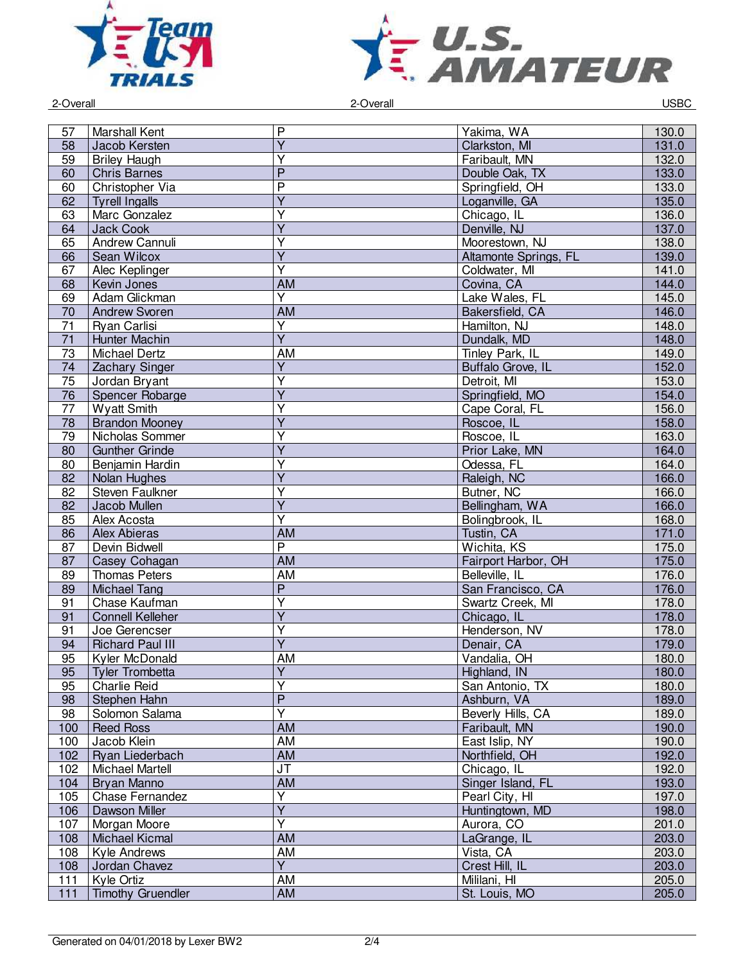



2-Overall 2-Overall USBC

| 57  | Marshall Kent            | P                                 | Yakima, WA            | 130.0 |
|-----|--------------------------|-----------------------------------|-----------------------|-------|
| 58  | Jacob Kersten            | $\overline{Y}$                    | Clarkston, MI         | 131.0 |
| 59  | <b>Briley Haugh</b>      | Ÿ                                 | Faribault, MN         | 132.0 |
| 60  | <b>Chris Barnes</b>      | $\overline{P}$                    | Double Oak, TX        | 133.0 |
| 60  | Christopher Via          | $\overline{\mathsf{P}}$           | Springfield, OH       | 133.0 |
| 62  | <b>Tyrell Ingalls</b>    | $\overline{Y}$                    | Loganville, GA        | 135.0 |
| 63  | Marc Gonzalez            | $\overline{\mathsf{Y}}$           | Chicago, IL           | 136.0 |
| 64  | Jack Cook                | $\overline{\mathsf{Y}}$           | Denville, NJ          | 137.0 |
| 65  | Andrew Cannuli           | Ÿ                                 | Moorestown, NJ        | 138.0 |
| 66  | Sean Wilcox              | $\overline{Y}$                    | Altamonte Springs, FL | 139.0 |
| 67  | Alec Keplinger           | $\overline{Y}$                    | Coldwater, MI         | 141.0 |
| 68  | Kevin Jones              | <b>AM</b>                         | Covina, CA            | 144.0 |
| 69  | Adam Glickman            | $\overline{\mathsf{Y}}$           | Lake Wales, FL        | 145.0 |
| 70  | <b>Andrew Svoren</b>     | AM                                | Bakersfield, CA       | 146.0 |
| 71  | Ryan Carlisi             | $\overline{\mathsf{Y}}$           | Hamilton, NJ          | 148.0 |
| 71  | Hunter Machin            | $\overline{Y}$                    | Dundalk, MD           | 148.0 |
| 73  | Michael Dertz            | AM                                | Tinley Park, IL       | 149.0 |
| 74  | Zachary Singer           | $\overline{Y}$                    | Buffalo Grove, IL     | 152.0 |
|     |                          | $\overline{Y}$                    |                       |       |
| 75  | Jordan Bryant            | $\overline{Y}$                    | Detroit, MI           | 153.0 |
| 76  | Spencer Robarge          |                                   | Springfield, MO       | 154.0 |
| 77  | <b>Wyatt Smith</b>       | $\overline{Y}$                    | Cape Coral, FL        | 156.0 |
| 78  | <b>Brandon Mooney</b>    | $\overline{Y}$                    | Roscoe, IL            | 158.0 |
| 79  | Nicholas Sommer          | $\overline{\mathsf{Y}}$           | Roscoe, IL            | 163.0 |
| 80  | <b>Gunther Grinde</b>    | $\overline{Y}$                    | Prior Lake, MN        | 164.0 |
| 80  | Benjamin Hardin          | $\overline{Y}$                    | Odessa, FL            | 164.0 |
| 82  | Nolan Hughes             | $\overline{Y}$                    | Raleigh, NC           | 166.0 |
| 82  | Steven Faulkner          | $\overline{Y}$                    | Butner, NC            | 166.0 |
| 82  | Jacob Mullen             | $\overline{Y}$                    | Bellingham, WA        | 166.0 |
| 85  | Alex Acosta              | Y                                 | Bolingbrook, IL       | 168.0 |
| 86  | <b>Alex Abieras</b>      | <b>AM</b>                         | Tustin, CA            | 171.0 |
| 87  | Devin Bidwell            | $\overline{\mathsf{P}}$           | Wichita, KS           | 175.0 |
| 87  | Casey Cohagan            | <b>AM</b>                         | Fairport Harbor, OH   | 175.0 |
| 89  | <b>Thomas Peters</b>     | AM                                | Belleville, IL        | 176.0 |
| 89  | <b>Michael Tang</b>      | $\overline{P}$                    | San Francisco, CA     | 176.0 |
| 91  | Chase Kaufman            | $\overline{\mathsf{Y}}$           | Swartz Creek, MI      | 178.0 |
| 91  | <b>Connell Kelleher</b>  | $\overline{Y}$                    | Chicago, IL           | 178.0 |
| 91  | Joe Gerencser            | $\overline{\mathsf{Y}}$           | Henderson, NV         | 178.0 |
| 94  | <b>Richard Paul III</b>  | $\overline{\mathsf{Y}}$           | Denair, CA            | 179.0 |
| 95  | <b>Kyler McDonald</b>    | AM                                | Vandalia, OH          | 180.0 |
| 95  | <b>Tyler Trombetta</b>   | Y                                 | Highland, IN          | 180.0 |
| 95  | Charlie Reid             | $\overline{Y}$                    | San Antonio, TX       | 180.0 |
| 98  | Stephen Hahn             | $\overline{P}$                    | Ashburn, VA           | 189.0 |
| 98  | Solomon Salama           | $\overline{\mathsf{Y}}$           | Beverly Hills, CA     | 189.0 |
| 100 | <b>Reed Ross</b>         | AM                                | Faribault, MN         | 190.0 |
| 100 | Jacob Klein              | AM                                | East Islip, NY        | 190.0 |
| 102 | Ryan Liederbach          | AM                                | Northfield, OH        | 192.0 |
| 102 | Michael Martell          | $\overline{\mathsf{J}\mathsf{T}}$ | Chicago, IL           | 192.0 |
| 104 | Bryan Manno              | <b>AM</b>                         | Singer Island, FL     | 193.0 |
|     |                          | $\overline{Y}$                    | Pearl City, HI        |       |
| 105 | Chase Fernandez          | $\overline{Y}$                    |                       | 197.0 |
| 106 | Dawson Miller            |                                   | Huntingtown, MD       | 198.0 |
| 107 | Morgan Moore             | Y                                 | Aurora, CO            | 201.0 |
| 108 | Michael Kicmal           | AM                                | LaGrange, IL          | 203.0 |
| 108 | Kyle Andrews             | AM                                | Vista, CA             | 203.0 |
| 108 | Jordan Chavez            | Y                                 | Crest Hill, IL        | 203.0 |
| 111 | Kyle Ortiz               | AM                                | Mililani, HI          | 205.0 |
| 111 | <b>Timothy Gruendler</b> | AM                                | St. Louis, MO         | 205.0 |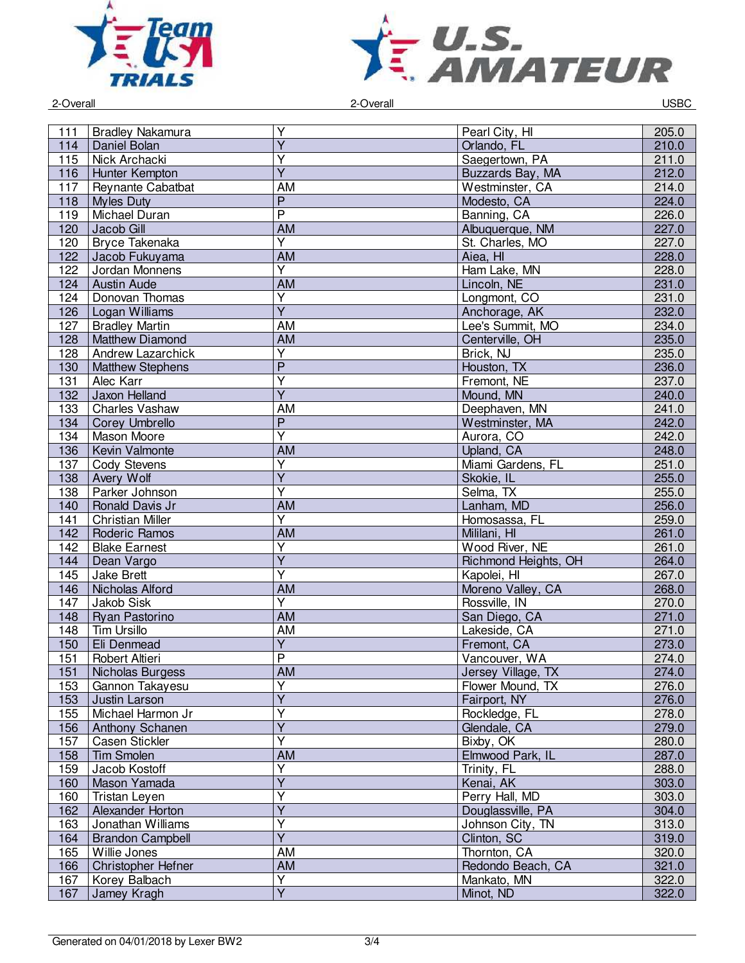



2-Overall 2-Overall USBC

|     |                         | Υ                       |                      |       |
|-----|-------------------------|-------------------------|----------------------|-------|
| 111 | <b>Bradley Nakamura</b> |                         | Pearl City, HI       | 205.0 |
| 114 | Daniel Bolan            | $\overline{Y}$          | Orlando, FL          | 210.0 |
| 115 | Nick Archacki           | $\overline{\mathsf{Y}}$ | Saegertown, PA       | 211.0 |
| 116 | Hunter Kempton          | $\overline{Y}$          | Buzzards Bay, MA     | 212.0 |
| 117 | Reynante Cabatbat       | $\overline{AM}$         | Westminster, CA      | 214.0 |
| 118 | <b>Myles Duty</b>       | $\overline{P}$          | Modesto, CA          | 224.0 |
| 119 | Michael Duran           | $\overline{\mathsf{P}}$ | Banning, CA          | 226.0 |
| 120 | Jacob Gill              | $\overline{AM}$         | Albuquerque, NM      | 227.0 |
| 120 | Bryce Takenaka          | $\overline{Y}$          | St. Charles, MO      | 227.0 |
| 122 | Jacob Fukuyama          | <b>AM</b>               | Aiea, HI             | 228.0 |
| 122 | Jordan Monnens          | Ÿ                       | Ham Lake, MN         | 228.0 |
| 124 | <b>Austin Aude</b>      | AM                      | Lincoln, NE          | 231.0 |
| 124 | Donovan Thomas          | $\overline{\mathsf{Y}}$ | Longmont, CO         | 231.0 |
|     |                         | $\overline{Y}$          |                      | 232.0 |
| 126 | Logan Williams          |                         | Anchorage, AK        |       |
| 127 | <b>Bradley Martin</b>   | <b>AM</b>               | Lee's Summit, MO     | 234.0 |
| 128 | Matthew Diamond         | $\overline{AM}$         | Centerville, OH      | 235.0 |
| 128 | Andrew Lazarchick       | $\overline{Y}$          | Brick, NJ            | 235.0 |
| 130 | <b>Matthew Stephens</b> | $\overline{P}$          | Houston, TX          | 236.0 |
| 131 | Alec Karr               | $\overline{Y}$          | Fremont, NE          | 237.0 |
| 132 | Jaxon Helland           | $\overline{Y}$          | Mound, MN            | 240.0 |
| 133 | Charles Vashaw          | <b>AM</b>               | Deephaven, MN        | 241.0 |
| 134 | <b>Corey Umbrello</b>   | $\mathsf{P}$            | Westminster, MA      | 242.0 |
| 134 | Mason Moore             | $\overline{\mathsf{Y}}$ | Aurora, CO           | 242.0 |
| 136 | Kevin Valmonte          | <b>AM</b>               | Upland, CA           | 248.0 |
| 137 | Cody Stevens            | $\overline{Y}$          | Miami Gardens, FL    | 251.0 |
| 138 | Avery Wolf              | $\overline{\mathsf{Y}}$ | Skokie, IL           | 255.0 |
| 138 | Parker Johnson          | $\overline{\mathsf{Y}}$ | Selma, TX            | 255.0 |
| 140 | Ronald Davis Jr         | $\overline{AM}$         | Lanham, MD           | 256.0 |
| 141 | <b>Christian Miller</b> | $\overline{\mathsf{Y}}$ | Homosassa, FL        | 259.0 |
| 142 | Roderic Ramos           | AM                      | Mililani, HI         | 261.0 |
| 142 | <b>Blake Earnest</b>    | $\overline{\mathsf{Y}}$ | Wood River, NE       | 261.0 |
|     | Dean Vargo              | $\overline{\mathsf{Y}}$ | Richmond Heights, OH | 264.0 |
| 144 |                         | $\overline{\mathsf{Y}}$ |                      |       |
| 145 | <b>Jake Brett</b>       |                         | Kapolei, HI          | 267.0 |
| 146 | Nicholas Alford         | <b>AM</b>               | Moreno Valley, CA    | 268.0 |
| 147 | Jakob Sisk              | Y                       | Rossville, IN        | 270.0 |
| 148 | Ryan Pastorino          | <b>AM</b>               | San Diego, CA        | 271.0 |
| 148 | <b>Tim Ursillo</b>      | <b>AM</b>               | Lakeside, CA         | 271.0 |
| 150 | Eli Denmead             | $\overline{\mathsf{Y}}$ | Fremont, CA          | 273.0 |
| 151 | Robert Altieri          | $\overline{P}$          | Vancouver, WA        | 274.0 |
| 151 | Nicholas Burgess        | <b>AM</b>               | Jersey Village, TX   | 274.0 |
| 153 | Gannon Takayesu         | $\overline{\mathsf{Y}}$ | Flower Mound, TX     | 276.0 |
| 153 | Justin Larson           | Y                       | Fairport, NY         | 276.0 |
| 155 | Michael Harmon Jr       | Ÿ                       | Rockledge, FL        | 278.0 |
| 156 | Anthony Schanen         | $\overline{Y}$          | Glendale, CA         | 279.0 |
| 157 | <b>Casen Stickler</b>   | Y                       | Bixby, OK            | 280.0 |
| 158 | <b>Tim Smolen</b>       | <b>AM</b>               | Elmwood Park, IL     | 287.0 |
| 159 | Jacob Kostoff           | $\overline{\mathsf{Y}}$ | Trinity, FL          | 288.0 |
| 160 | Mason Yamada            | $\overline{Y}$          | Kenai, AK            | 303.0 |
| 160 | Tristan Leyen           | $\overline{Y}$          | Perry Hall, MD       | 303.0 |
| 162 | Alexander Horton        | $\overline{Y}$          | Douglassville, PA    | 304.0 |
| 163 | Jonathan Williams       | Y                       | Johnson City, TN     | 313.0 |
| 164 | <b>Brandon Campbell</b> | $\overline{Y}$          | Clinton, SC          | 319.0 |
| 165 | Willie Jones            | AM                      | Thornton, CA         | 320.0 |
|     |                         | <b>AM</b>               |                      |       |
| 166 | Christopher Hefner      | $\overline{\mathsf{Y}}$ | Redondo Beach, CA    | 321.0 |
| 167 | Korey Balbach           | $\overline{Y}$          | Mankato, MN          | 322.0 |
| 167 | Jamey Kragh             |                         | Minot, ND            | 322.0 |